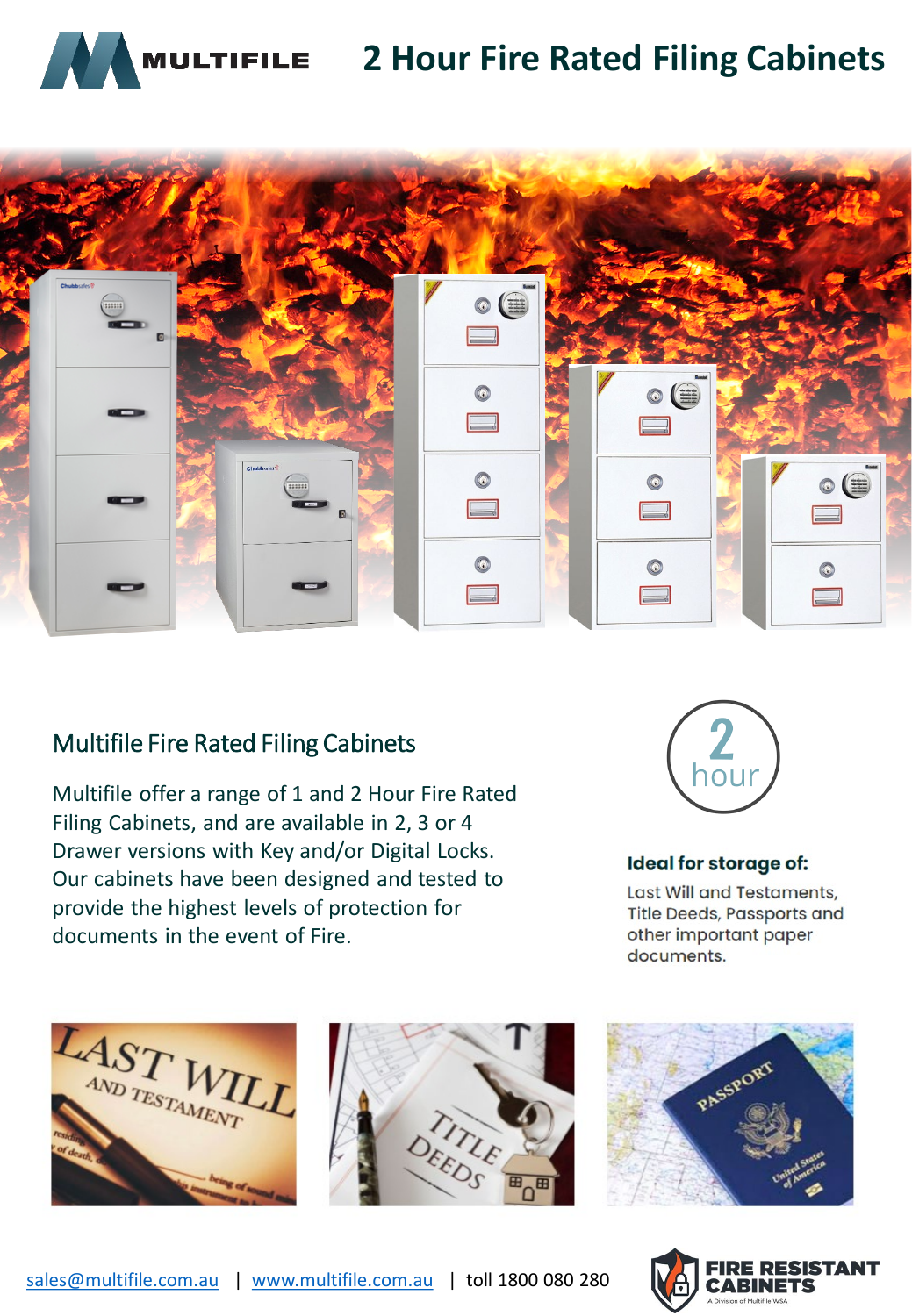

# **2 Hour Fire Rated Filing Cabinets**



### Multifile Fire Rated Filing Cabinets

Multifile offer a range of 1 and 2 Hour Fire Rated Filing Cabinets, and are available in 2, 3 or 4 Drawer versions with Key and/or Digital Locks. Our cabinets have been designed and tested to provide the highest levels of protection for documents in the event of Fire.



### **Ideal for storage of:**

Last Will and Testaments, **Title Deeds, Passports and** other important paper documents.







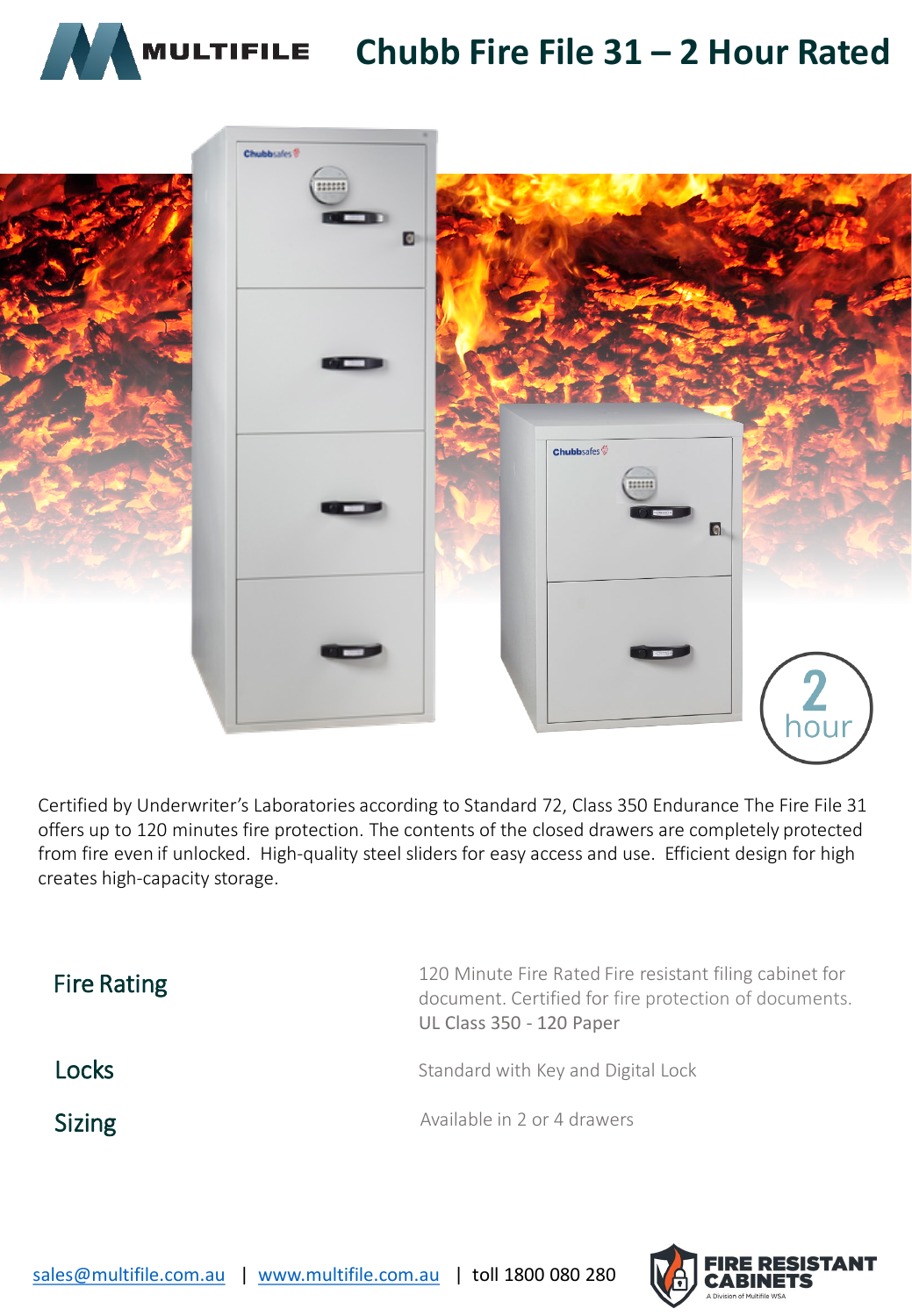



Certified by Underwriter's Laboratories according to Standard 72, Class 350 Endurance The Fire File 31 offers up to 120 minutes fire protection. The contents of the closed drawers are completely protected from fire even if unlocked. High-quality steel sliders for easy access and use. Efficient design for high creates high-capacity storage.

| <b>Fire Rating</b> | 120 Minute Fire Rated Fire resistant filing cabinet for<br>document. Certified for fire protection of documents.<br><b>UL Class 350 - 120 Paper</b> |
|--------------------|-----------------------------------------------------------------------------------------------------------------------------------------------------|
| Locks              | Standard with Key and Digital Lock                                                                                                                  |
| <b>Sizing</b>      | Available in 2 or 4 drawers                                                                                                                         |

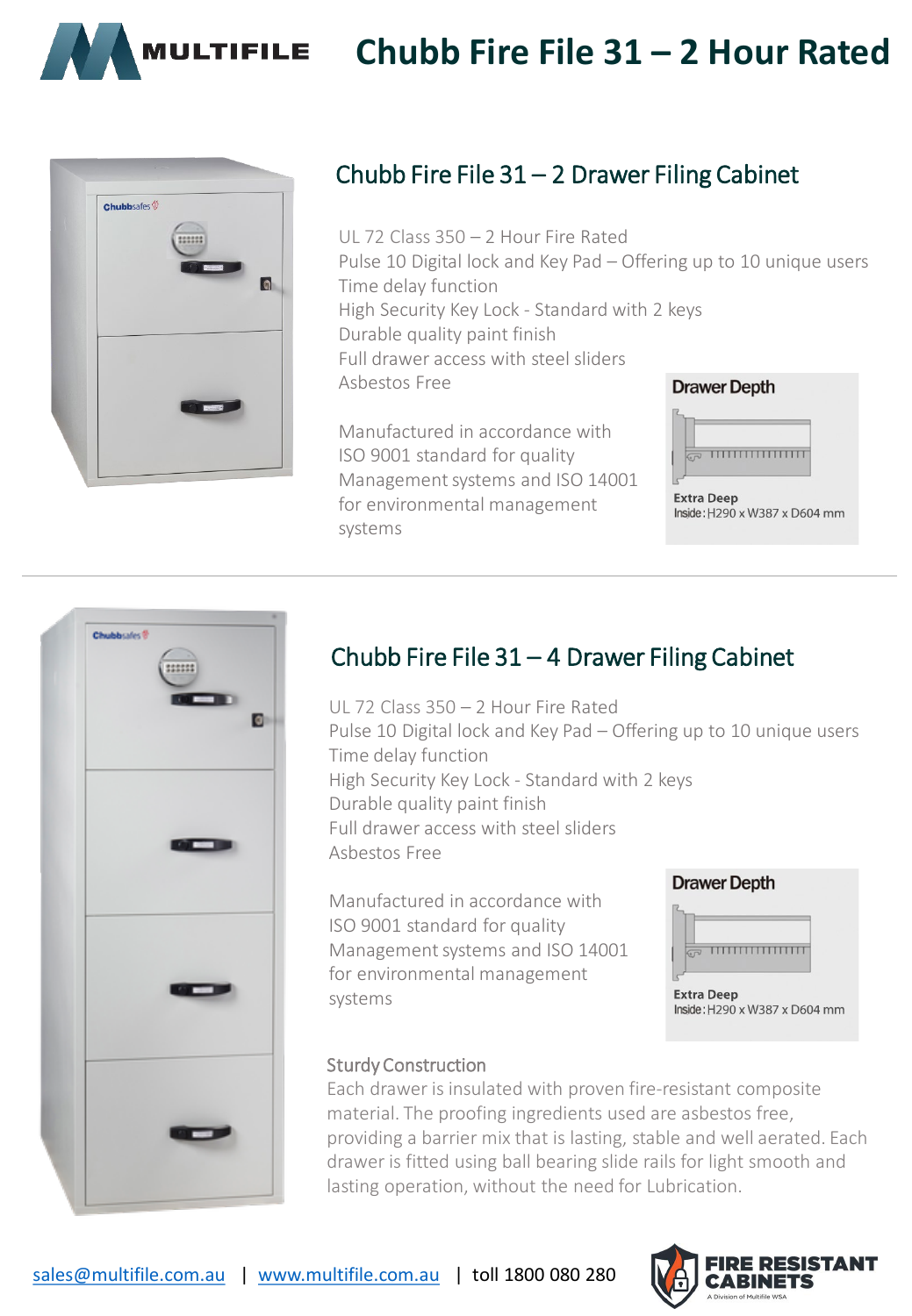

# **Chubb Fire File 31 – 2 Hour Rated**



## Chubb Fire File 31 – 2 Drawer Filing Cabinet

UL 72 Class 350 – 2 Hour Fire Rated Pulse 10 Digital lock and Key Pad – Offering up to 10 unique users Time delay function High Security Key Lock - Standard with 2 keys Durable quality paint finish Full drawer access with steel sliders Asbestos Free **Drawer Depth** 

Manufactured in accordance with ISO 9001 standard for quality Management systems and ISO 14001 for environmental management systems



**Extra Deep** Inside: H290 x W387 x D604 mm



### Chubb Fire File 31 – 4 Drawer Filing Cabinet

UL 72 Class 350 – 2 Hour Fire Rated Pulse 10 Digital lock and Key Pad – Offering up to 10 unique users Time delay function High Security Key Lock - Standard with 2 keys Durable quality paint finish Full drawer access with steel sliders Asbestos Free

Manufactured in accordance with ISO 9001 standard for quality Management systems and ISO 14001 for environmental management systems



### Sturdy Construction

Each drawer is insulated with proven fire-resistant composite material. The proofing ingredients used are asbestos free, providing a barrier mix that is lasting, stable and well aerated. Each drawer is fitted using ball bearing slide rails for light smooth and lasting operation, without the need for Lubrication.